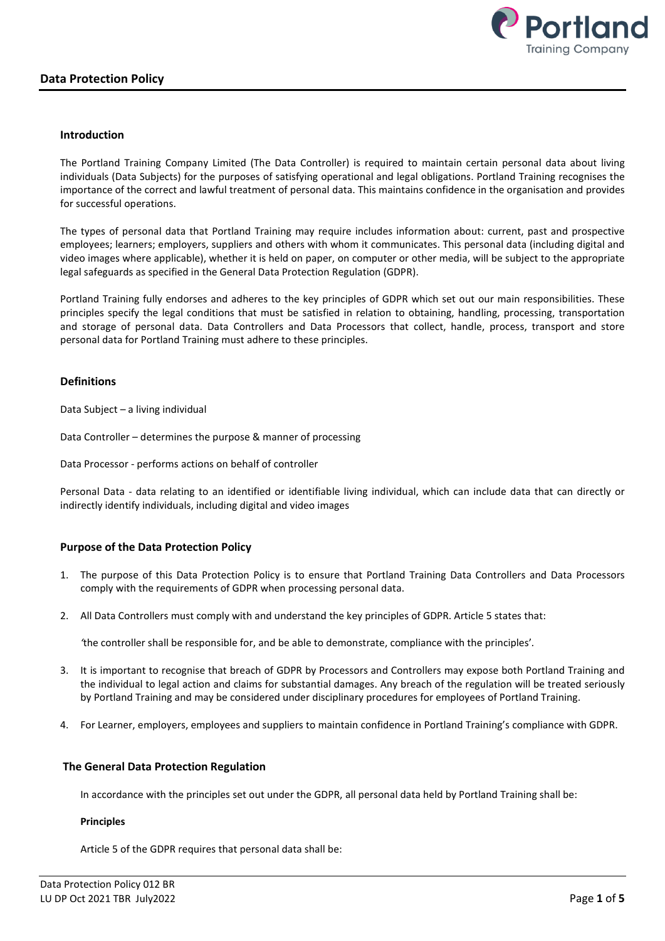

### Introduction

The Portland Training Company Limited (The Data Controller) is required to maintain certain personal data about living individuals (Data Subjects) for the purposes of satisfying operational and legal obligations. Portland Training recognises the importance of the correct and lawful treatment of personal data. This maintains confidence in the organisation and provides for successful operations.

The types of personal data that Portland Training may require includes information about: current, past and prospective employees; learners; employers, suppliers and others with whom it communicates. This personal data (including digital and video images where applicable), whether it is held on paper, on computer or other media, will be subject to the appropriate legal safeguards as specified in the General Data Protection Regulation (GDPR).

Portland Training fully endorses and adheres to the key principles of GDPR which set out our main responsibilities. These principles specify the legal conditions that must be satisfied in relation to obtaining, handling, processing, transportation and storage of personal data. Data Controllers and Data Processors that collect, handle, process, transport and store personal data for Portland Training must adhere to these principles.

## **Definitions**

Data Subject – a living individual

Data Controller – determines the purpose & manner of processing

Data Processor - performs actions on behalf of controller

Personal Data - data relating to an identified or identifiable living individual, which can include data that can directly or indirectly identify individuals, including digital and video images

# Purpose of the Data Protection Policy

- 1. The purpose of this Data Protection Policy is to ensure that Portland Training Data Controllers and Data Processors comply with the requirements of GDPR when processing personal data.
- 2. All Data Controllers must comply with and understand the key principles of GDPR. Article 5 states that:

'the controller shall be responsible for, and be able to demonstrate, compliance with the principles'.

- 3. It is important to recognise that breach of GDPR by Processors and Controllers may expose both Portland Training and the individual to legal action and claims for substantial damages. Any breach of the regulation will be treated seriously by Portland Training and may be considered under disciplinary procedures for employees of Portland Training.
- 4. For Learner, employers, employees and suppliers to maintain confidence in Portland Training's compliance with GDPR.

### The General Data Protection Regulation

In accordance with the principles set out under the GDPR, all personal data held by Portland Training shall be:

### Principles

Article 5 of the GDPR requires that personal data shall be: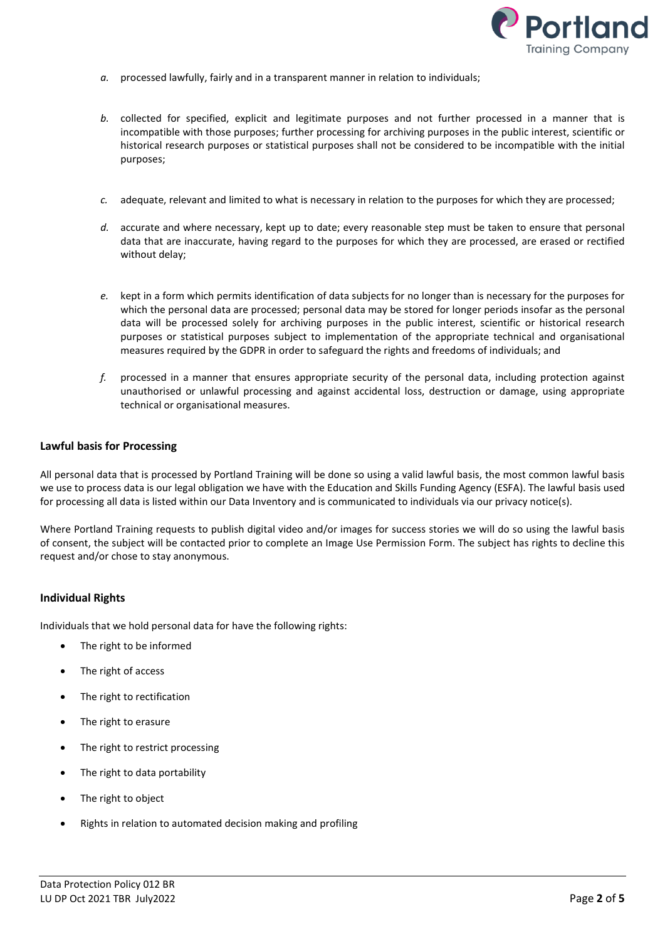

- a. processed lawfully, fairly and in a transparent manner in relation to individuals;
- b. collected for specified, explicit and legitimate purposes and not further processed in a manner that is incompatible with those purposes; further processing for archiving purposes in the public interest, scientific or historical research purposes or statistical purposes shall not be considered to be incompatible with the initial purposes;
- c. adequate, relevant and limited to what is necessary in relation to the purposes for which they are processed;
- d. accurate and where necessary, kept up to date; every reasonable step must be taken to ensure that personal data that are inaccurate, having regard to the purposes for which they are processed, are erased or rectified without delay;
- e. kept in a form which permits identification of data subjects for no longer than is necessary for the purposes for which the personal data are processed; personal data may be stored for longer periods insofar as the personal data will be processed solely for archiving purposes in the public interest, scientific or historical research purposes or statistical purposes subject to implementation of the appropriate technical and organisational measures required by the GDPR in order to safeguard the rights and freedoms of individuals; and
- $f.$  processed in a manner that ensures appropriate security of the personal data, including protection against unauthorised or unlawful processing and against accidental loss, destruction or damage, using appropriate technical or organisational measures.

### Lawful basis for Processing

All personal data that is processed by Portland Training will be done so using a valid lawful basis, the most common lawful basis we use to process data is our legal obligation we have with the Education and Skills Funding Agency (ESFA). The lawful basis used for processing all data is listed within our Data Inventory and is communicated to individuals via our privacy notice(s).

Where Portland Training requests to publish digital video and/or images for success stories we will do so using the lawful basis of consent, the subject will be contacted prior to complete an Image Use Permission Form. The subject has rights to decline this request and/or chose to stay anonymous.

### Individual Rights

Individuals that we hold personal data for have the following rights:

- The right to be informed
- The right of access
- The right to rectification
- The right to erasure
- The right to restrict processing
- The right to data portability
- The right to object
- Rights in relation to automated decision making and profiling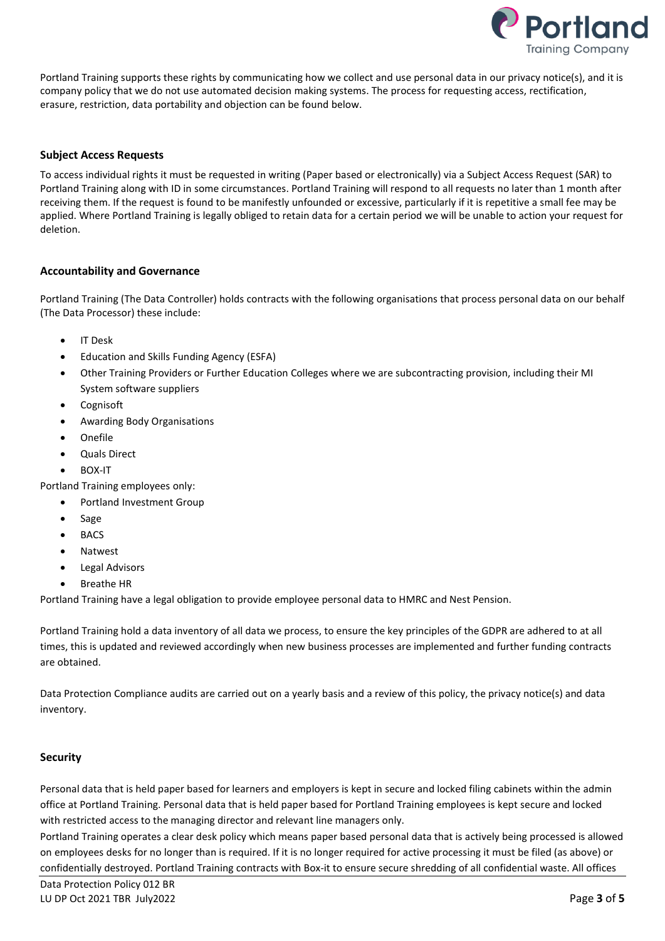

Portland Training supports these rights by communicating how we collect and use personal data in our privacy notice(s), and it is company policy that we do not use automated decision making systems. The process for requesting access, rectification, erasure, restriction, data portability and objection can be found below.

# Subject Access Requests

To access individual rights it must be requested in writing (Paper based or electronically) via a Subject Access Request (SAR) to Portland Training along with ID in some circumstances. Portland Training will respond to all requests no later than 1 month after receiving them. If the request is found to be manifestly unfounded or excessive, particularly if it is repetitive a small fee may be applied. Where Portland Training is legally obliged to retain data for a certain period we will be unable to action your request for deletion.

## Accountability and Governance

Portland Training (The Data Controller) holds contracts with the following organisations that process personal data on our behalf (The Data Processor) these include:

- IT Desk
- Education and Skills Funding Agency (ESFA)
- Other Training Providers or Further Education Colleges where we are subcontracting provision, including their MI System software suppliers
- Cognisoft
- Awarding Body Organisations
- Onefile
- Quals Direct
- BOX-IT

Portland Training employees only:

- Portland Investment Group
- Sage
- BACS
- Natwest
- Legal Advisors
- Breathe HR

Portland Training have a legal obligation to provide employee personal data to HMRC and Nest Pension.

Portland Training hold a data inventory of all data we process, to ensure the key principles of the GDPR are adhered to at all times, this is updated and reviewed accordingly when new business processes are implemented and further funding contracts are obtained.

Data Protection Compliance audits are carried out on a yearly basis and a review of this policy, the privacy notice(s) and data inventory.

# **Security**

Personal data that is held paper based for learners and employers is kept in secure and locked filing cabinets within the admin office at Portland Training. Personal data that is held paper based for Portland Training employees is kept secure and locked with restricted access to the managing director and relevant line managers only.

Portland Training operates a clear desk policy which means paper based personal data that is actively being processed is allowed on employees desks for no longer than is required. If it is no longer required for active processing it must be filed (as above) or confidentially destroyed. Portland Training contracts with Box-it to ensure secure shredding of all confidential waste. All offices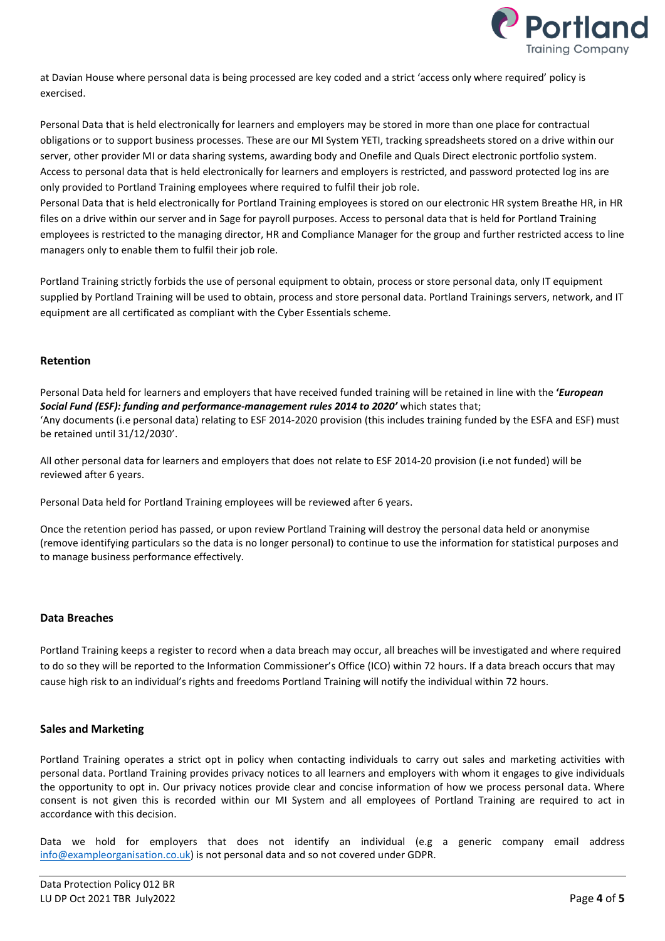

at Davian House where personal data is being processed are key coded and a strict 'access only where required' policy is exercised.

Personal Data that is held electronically for learners and employers may be stored in more than one place for contractual obligations or to support business processes. These are our MI System YETI, tracking spreadsheets stored on a drive within our server, other provider MI or data sharing systems, awarding body and Onefile and Quals Direct electronic portfolio system. Access to personal data that is held electronically for learners and employers is restricted, and password protected log ins are only provided to Portland Training employees where required to fulfil their job role.

Personal Data that is held electronically for Portland Training employees is stored on our electronic HR system Breathe HR, in HR files on a drive within our server and in Sage for payroll purposes. Access to personal data that is held for Portland Training employees is restricted to the managing director, HR and Compliance Manager for the group and further restricted access to line managers only to enable them to fulfil their job role.

Portland Training strictly forbids the use of personal equipment to obtain, process or store personal data, only IT equipment supplied by Portland Training will be used to obtain, process and store personal data. Portland Trainings servers, network, and IT equipment are all certificated as compliant with the Cyber Essentials scheme.

## Retention

Personal Data held for learners and employers that have received funded training will be retained in line with the 'European Social Fund (ESF): funding and performance-management rules 2014 to 2020' which states that; 'Any documents (i.e personal data) relating to ESF 2014-2020 provision (this includes training funded by the ESFA and ESF) must be retained until 31/12/2030'.

All other personal data for learners and employers that does not relate to ESF 2014-20 provision (i.e not funded) will be reviewed after 6 years.

Personal Data held for Portland Training employees will be reviewed after 6 years.

Once the retention period has passed, or upon review Portland Training will destroy the personal data held or anonymise (remove identifying particulars so the data is no longer personal) to continue to use the information for statistical purposes and to manage business performance effectively.

### Data Breaches

Portland Training keeps a register to record when a data breach may occur, all breaches will be investigated and where required to do so they will be reported to the Information Commissioner's Office (ICO) within 72 hours. If a data breach occurs that may cause high risk to an individual's rights and freedoms Portland Training will notify the individual within 72 hours.

### Sales and Marketing

Portland Training operates a strict opt in policy when contacting individuals to carry out sales and marketing activities with personal data. Portland Training provides privacy notices to all learners and employers with whom it engages to give individuals the opportunity to opt in. Our privacy notices provide clear and concise information of how we process personal data. Where consent is not given this is recorded within our MI System and all employees of Portland Training are required to act in accordance with this decision.

Data we hold for employers that does not identify an individual (e.g a generic company email address info@exampleorganisation.co.uk) is not personal data and so not covered under GDPR.